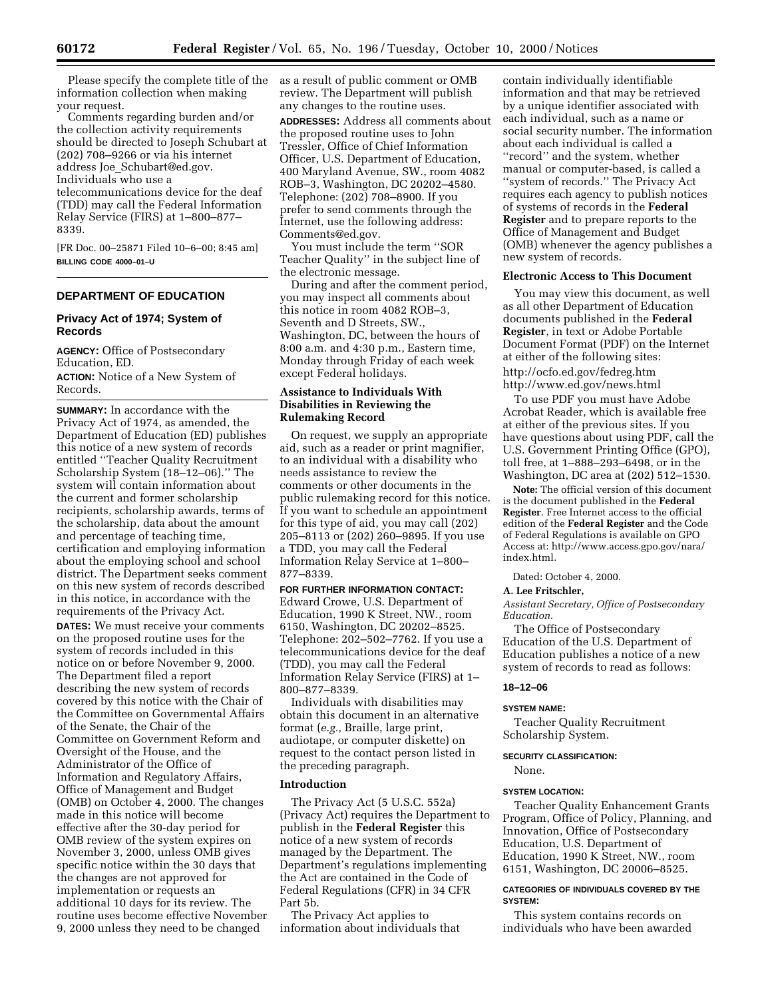Please specify the complete title of the information collection when making your request.

Comments regarding burden and/or the collection activity requirements should be directed to Joseph Schubart at (202) 708–9266 or via his internet address Joe\_Schubart@ed.gov. Individuals who use a telecommunications device for the deaf (TDD) may call the Federal Information Relay Service (FIRS) at 1–800–877–

8339.

[FR Doc. 00–25871 Filed 10–6–00; 8:45 am] **BILLING CODE 4000–01–U** 

### **DEPARTMENT OF EDUCATION**

# **Privacy Act of 1974; System of Records**

**AGENCY:** Office of Postsecondary Education, ED.

**ACTION:** Notice of a New System of Records.

**SUMMARY:** In accordance with the Privacy Act of 1974, as amended, the Department of Education (ED) publishes this notice of a new system of records entitled ''Teacher Quality Recruitment Scholarship System (18–12–06).'' The system will contain information about the current and former scholarship recipients, scholarship awards, terms of the scholarship, data about the amount and percentage of teaching time, certification and employing information about the employing school and school district. The Department seeks comment on this new system of records described in this notice, in accordance with the requirements of the Privacy Act.

**DATES:** We must receive your comments on the proposed routine uses for the system of records included in this notice on or before November 9, 2000. The Department filed a report describing the new system of records covered by this notice with the Chair of the Committee on Governmental Affairs of the Senate, the Chair of the Committee on Government Reform and Oversight of the House, and the Administrator of the Office of Information and Regulatory Affairs, Office of Management and Budget (OMB) on October 4, 2000. The changes made in this notice will become effective after the 30-day period for OMB review of the system expires on November 3, 2000, unless OMB gives specific notice within the 30 days that the changes are not approved for implementation or requests an additional 10 days for its review. The routine uses become effective November 9, 2000 unless they need to be changed

as a result of public comment or OMB review. The Department will publish any changes to the routine uses.

**ADDRESSES:** Address all comments about the proposed routine uses to John Tressler, Office of Chief Information Officer, U.S. Department of Education, 400 Maryland Avenue, SW., room 4082 ROB–3, Washington, DC 20202–4580. Telephone: (202) 708–8900. If you prefer to send comments through the Internet, use the following address: Comments@ed.gov.

You must include the term ''SOR Teacher Quality'' in the subject line of the electronic message.

During and after the comment period, you may inspect all comments about this notice in room 4082 ROB–3, Seventh and D Streets, SW., Washington, DC, between the hours of 8:00 a.m. and 4:30 p.m., Eastern time, Monday through Friday of each week except Federal holidays.

## **Assistance to Individuals With Disabilities in Reviewing the Rulemaking Record**

On request, we supply an appropriate aid, such as a reader or print magnifier, to an individual with a disability who needs assistance to review the comments or other documents in the public rulemaking record for this notice. If you want to schedule an appointment for this type of aid, you may call (202) 205–8113 or (202) 260–9895. If you use a TDD, you may call the Federal Information Relay Service at 1–800– 877–8339.

# **FOR FURTHER INFORMATION CONTACT:**

Edward Crowe, U.S. Department of Education, 1990 K Street, NW., room 6150, Washington, DC 20202–8525. Telephone: 202–502–7762. If you use a telecommunications device for the deaf (TDD), you may call the Federal Information Relay Service (FIRS) at 1– 800–877–8339.

Individuals with disabilities may obtain this document in an alternative format (*e.g.,* Braille, large print, audiotape, or computer diskette) on request to the contact person listed in the preceding paragraph.

### **Introduction**

The Privacy Act (5 U.S.C. 552a) (Privacy Act) requires the Department to publish in the **Federal Register** this notice of a new system of records managed by the Department. The Department's regulations implementing the Act are contained in the Code of Federal Regulations (CFR) in 34 CFR Part 5b.

The Privacy Act applies to information about individuals that

contain individually identifiable information and that may be retrieved by a unique identifier associated with each individual, such as a name or social security number. The information about each individual is called a ''record'' and the system, whether manual or computer-based, is called a ''system of records.'' The Privacy Act requires each agency to publish notices of systems of records in the **Federal Register** and to prepare reports to the Office of Management and Budget (OMB) whenever the agency publishes a new system of records.

# **Electronic Access to This Document**

You may view this document, as well as all other Department of Education documents published in the **Federal Register**, in text or Adobe Portable Document Format (PDF) on the Internet at either of the following sites: http://ocfo.ed.gov/fedreg.htm http://www.ed.gov/news.html

To use PDF you must have Adobe Acrobat Reader, which is available free at either of the previous sites. If you have questions about using PDF, call the U.S. Government Printing Office (GPO), toll free, at 1–888–293–6498, or in the Washington, DC area at (202) 512–1530.

**Note:** The official version of this document is the document published in the **Federal Register**. Free Internet access to the official edition of the **Federal Register** and the Code of Federal Regulations is available on GPO Access at: http://www.access.gpo.gov/nara/ index.html.

Dated: October 4, 2000.

# **A. Lee Fritschler,**

*Assistant Secretary, Office of Postsecondary Education.* 

The Office of Postsecondary Education of the U.S. Department of Education publishes a notice of a new system of records to read as follows:

#### **18–12–06**

#### **SYSTEM NAME:**

Teacher Quality Recruitment Scholarship System.

### **SECURITY CLASSIFICATION:**

None.

#### **SYSTEM LOCATION:**

Teacher Quality Enhancement Grants Program, Office of Policy, Planning, and Innovation, Office of Postsecondary Education, U.S. Department of Education, 1990 K Street, NW., room 6151, Washington, DC 20006–8525.

### **CATEGORIES OF INDIVIDUALS COVERED BY THE SYSTEM:**

This system contains records on individuals who have been awarded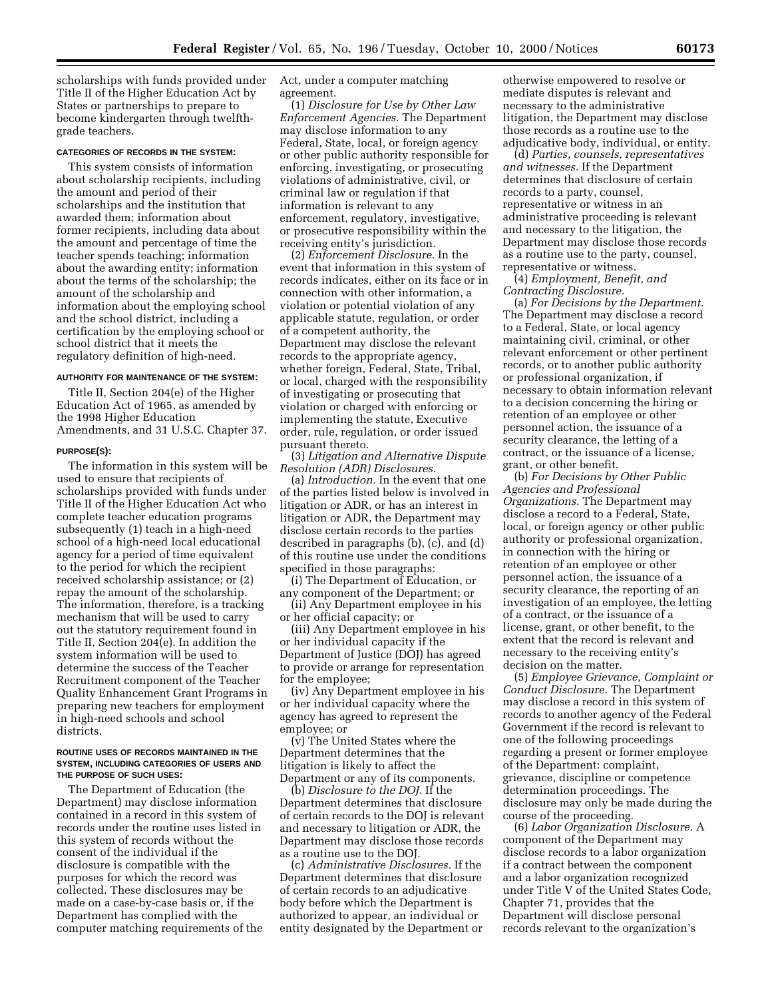scholarships with funds provided under Title II of the Higher Education Act by States or partnerships to prepare to become kindergarten through twelfthgrade teachers.

### **CATEGORIES OF RECORDS IN THE SYSTEM:**

This system consists of information about scholarship recipients, including the amount and period of their scholarships and the institution that awarded them; information about former recipients, including data about the amount and percentage of time the teacher spends teaching; information about the awarding entity; information about the terms of the scholarship; the amount of the scholarship and information about the employing school and the school district, including a certification by the employing school or school district that it meets the regulatory definition of high-need.

# **AUTHORITY FOR MAINTENANCE OF THE SYSTEM:**

Title II, Section 204(e) of the Higher Education Act of 1965, as amended by the 1998 Higher Education Amendments, and 31 U.S.C. Chapter 37.

#### **PURPOSE(S):**

The information in this system will be used to ensure that recipients of scholarships provided with funds under Title II of the Higher Education Act who complete teacher education programs subsequently (1) teach in a high-need school of a high-need local educational agency for a period of time equivalent to the period for which the recipient received scholarship assistance; or (2) repay the amount of the scholarship. The information, therefore, is a tracking mechanism that will be used to carry out the statutory requirement found in Title II, Section 204(e). In addition the system information will be used to determine the success of the Teacher Recruitment component of the Teacher Quality Enhancement Grant Programs in preparing new teachers for employment in high-need schools and school districts.

#### **ROUTINE USES OF RECORDS MAINTAINED IN THE SYSTEM, INCLUDING CATEGORIES OF USERS AND THE PURPOSE OF SUCH USES:**

The Department of Education (the Department) may disclose information contained in a record in this system of records under the routine uses listed in this system of records without the consent of the individual if the disclosure is compatible with the purposes for which the record was collected. These disclosures may be made on a case-by-case basis or, if the Department has complied with the computer matching requirements of the Act, under a computer matching agreement.

(1) *Disclosure for Use by Other Law Enforcement Agencies.* The Department may disclose information to any Federal, State, local, or foreign agency or other public authority responsible for enforcing, investigating, or prosecuting violations of administrative, civil, or criminal law or regulation if that information is relevant to any enforcement, regulatory, investigative, or prosecutive responsibility within the receiving entity's jurisdiction.

(2) *Enforcement Disclosure.* In the event that information in this system of records indicates, either on its face or in connection with other information, a violation or potential violation of any applicable statute, regulation, or order of a competent authority, the Department may disclose the relevant records to the appropriate agency, whether foreign, Federal, State, Tribal, or local, charged with the responsibility of investigating or prosecuting that violation or charged with enforcing or implementing the statute, Executive order, rule, regulation, or order issued pursuant thereto.

(3) *Litigation and Alternative Dispute Resolution (ADR) Disclosures.* 

(a) *Introduction.* In the event that one of the parties listed below is involved in litigation or ADR, or has an interest in litigation or ADR, the Department may disclose certain records to the parties described in paragraphs (b), (c), and (d) of this routine use under the conditions specified in those paragraphs:

(i) The Department of Education, or any component of the Department; or (ii) Any Department employee in his

or her official capacity; or (iii) Any Department employee in his

or her individual capacity if the Department of Justice (DOJ) has agreed to provide or arrange for representation for the employee;

(iv) Any Department employee in his or her individual capacity where the agency has agreed to represent the employee; or

(v) The United States where the Department determines that the litigation is likely to affect the Department or any of its components.

(b) *Disclosure to the DOJ.* If the Department determines that disclosure of certain records to the DOJ is relevant and necessary to litigation or ADR, the Department may disclose those records as a routine use to the DOJ.

(c) *Administrative Disclosures.* If the Department determines that disclosure of certain records to an adjudicative body before which the Department is authorized to appear, an individual or entity designated by the Department or

otherwise empowered to resolve or mediate disputes is relevant and necessary to the administrative litigation, the Department may disclose those records as a routine use to the adjudicative body, individual, or entity.

(d) *Parties, counsels, representatives and witnesses.* If the Department determines that disclosure of certain records to a party, counsel, representative or witness in an administrative proceeding is relevant and necessary to the litigation, the Department may disclose those records as a routine use to the party, counsel, representative or witness.

(4) *Employment, Benefit, and Contracting Disclosure.* 

(a) *For Decisions by the Department.*  The Department may disclose a record to a Federal, State, or local agency maintaining civil, criminal, or other relevant enforcement or other pertinent records, or to another public authority or professional organization, if necessary to obtain information relevant to a decision concerning the hiring or retention of an employee or other personnel action, the issuance of a security clearance, the letting of a contract, or the issuance of a license, grant, or other benefit.

(b) *For Decisions by Other Public Agencies and Professional Organizations.* The Department may disclose a record to a Federal, State, local, or foreign agency or other public authority or professional organization, in connection with the hiring or retention of an employee or other personnel action, the issuance of a security clearance, the reporting of an investigation of an employee, the letting of a contract, or the issuance of a license, grant, or other benefit, to the extent that the record is relevant and necessary to the receiving entity's decision on the matter.

(5) *Employee Grievance, Complaint or Conduct Disclosure.* The Department may disclose a record in this system of records to another agency of the Federal Government if the record is relevant to one of the following proceedings regarding a present or former employee of the Department: complaint, grievance, discipline or competence determination proceedings. The disclosure may only be made during the course of the proceeding.

(6) *Labor Organization Disclosure.* A component of the Department may disclose records to a labor organization if a contract between the component and a labor organization recognized under Title V of the United States Code, Chapter 71, provides that the Department will disclose personal records relevant to the organization's